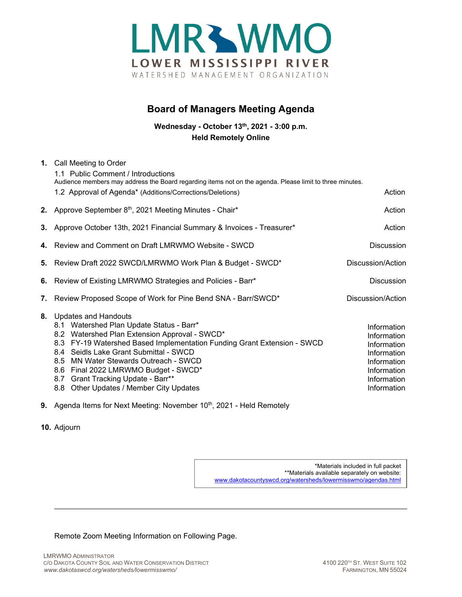

## **Board of Managers Meeting Agenda**

**Wednesday - October 13th, 2021 - 3:00 p.m. Held Remotely Online**

|    | 1. Call Meeting to Order<br>1.1 Public Comment / Introductions<br>Audience members may address the Board regarding items not on the agenda. Please limit to three minutes.                                                                                                                                                                                                                                         |                                                                                                                      |
|----|--------------------------------------------------------------------------------------------------------------------------------------------------------------------------------------------------------------------------------------------------------------------------------------------------------------------------------------------------------------------------------------------------------------------|----------------------------------------------------------------------------------------------------------------------|
|    | 1.2 Approval of Agenda* (Additions/Corrections/Deletions)                                                                                                                                                                                                                                                                                                                                                          | Action                                                                                                               |
|    | 2. Approve September 8th, 2021 Meeting Minutes - Chair*                                                                                                                                                                                                                                                                                                                                                            | Action                                                                                                               |
|    | 3. Approve October 13th, 2021 Financial Summary & Invoices - Treasurer*                                                                                                                                                                                                                                                                                                                                            | Action                                                                                                               |
|    | 4. Review and Comment on Draft LMRWMO Website - SWCD                                                                                                                                                                                                                                                                                                                                                               | <b>Discussion</b>                                                                                                    |
|    | 5. Review Draft 2022 SWCD/LMRWMO Work Plan & Budget - SWCD*                                                                                                                                                                                                                                                                                                                                                        | Discussion/Action                                                                                                    |
|    | 6. Review of Existing LMRWMO Strategies and Policies - Barr*                                                                                                                                                                                                                                                                                                                                                       | <b>Discussion</b>                                                                                                    |
|    | 7. Review Proposed Scope of Work for Pine Bend SNA - Barr/SWCD*                                                                                                                                                                                                                                                                                                                                                    | Discussion/Action                                                                                                    |
| 8. | <b>Updates and Handouts</b><br>Watershed Plan Update Status - Barr*<br>8.1<br>8.2 Watershed Plan Extension Approval - SWCD*<br>8.3 FY-19 Watershed Based Implementation Funding Grant Extension - SWCD<br>8.4 Seidls Lake Grant Submittal - SWCD<br>8.5 MN Water Stewards Outreach - SWCD<br>8.6 Final 2022 LMRWMO Budget - SWCD*<br>8.7 Grant Tracking Update - Barr**<br>8.8 Other Updates / Member City Updates | Information<br>Information<br>Information<br>Information<br>Information<br>Information<br>Information<br>Information |

- **9.** Agenda Items for Next Meeting: November 10<sup>th</sup>, 2021 Held Remotely
- **10.** Adjourn

\*Materials included in full packet \*\*Materials available separately on website: [www.dakotacountyswcd.org/watersheds/lowermisswmo/agendas.html](http://www.dakotacountyswcd.org/watersheds/lowermisswmo/agendas.html)

Remote Zoom Meeting Information on Following Page.